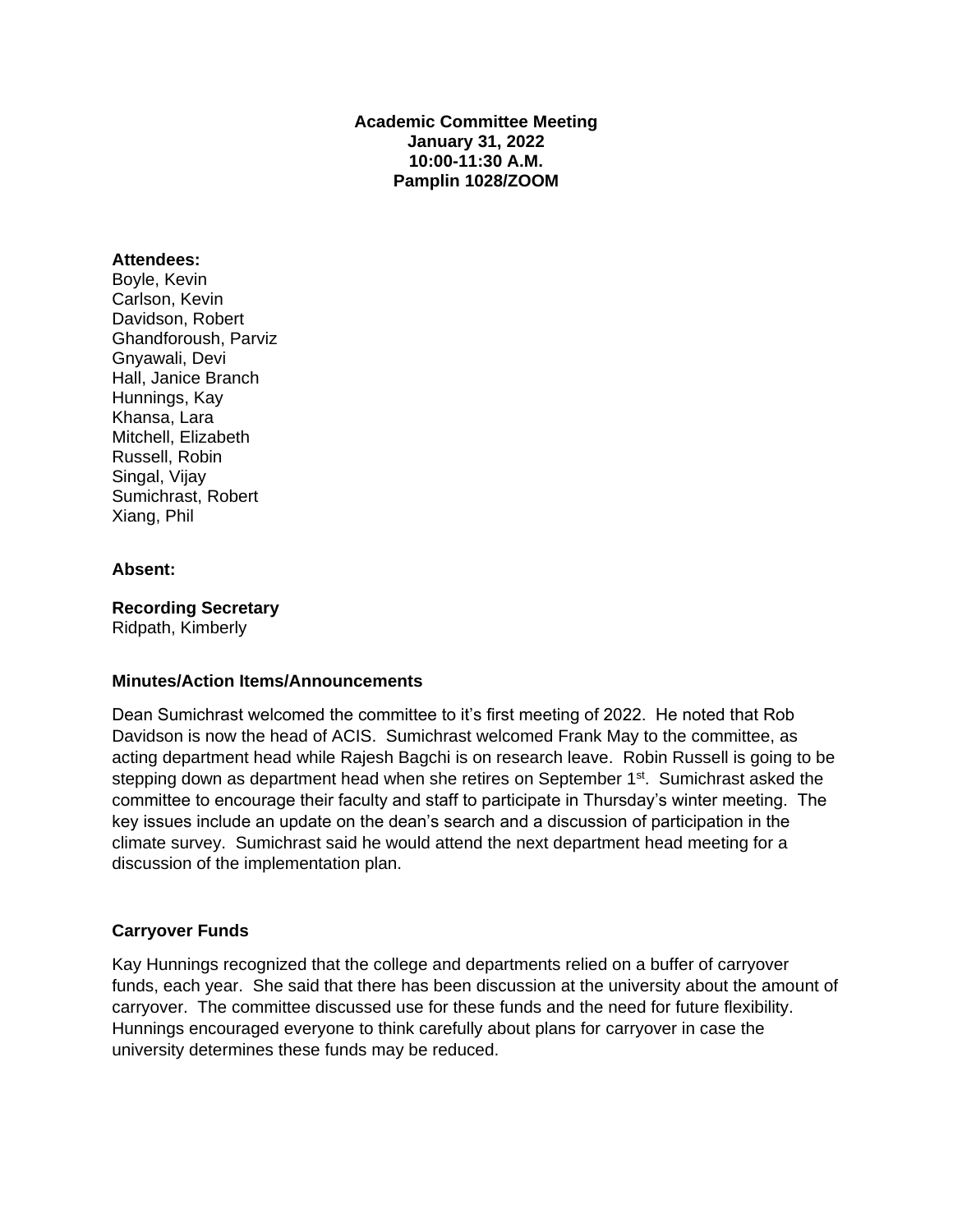## **Academic Committee Meeting January 31, 2022 10:00-11:30 A.M. Pamplin 1028/ZOOM**

## **Attendees:**

Boyle, Kevin Carlson, Kevin Davidson, Robert Ghandforoush, Parviz Gnyawali, Devi Hall, Janice Branch Hunnings, Kay Khansa, Lara Mitchell, Elizabeth Russell, Robin Singal, Vijay Sumichrast, Robert Xiang, Phil

#### **Absent:**

**Recording Secretary** Ridpath, Kimberly

## **Minutes/Action Items/Announcements**

Dean Sumichrast welcomed the committee to it's first meeting of 2022. He noted that Rob Davidson is now the head of ACIS. Sumichrast welcomed Frank May to the committee, as acting department head while Rajesh Bagchi is on research leave. Robin Russell is going to be stepping down as department head when she retires on September 1<sup>st</sup>. Sumichrast asked the committee to encourage their faculty and staff to participate in Thursday's winter meeting. The key issues include an update on the dean's search and a discussion of participation in the climate survey. Sumichrast said he would attend the next department head meeting for a discussion of the implementation plan.

#### **Carryover Funds**

Kay Hunnings recognized that the college and departments relied on a buffer of carryover funds, each year. She said that there has been discussion at the university about the amount of carryover. The committee discussed use for these funds and the need for future flexibility. Hunnings encouraged everyone to think carefully about plans for carryover in case the university determines these funds may be reduced.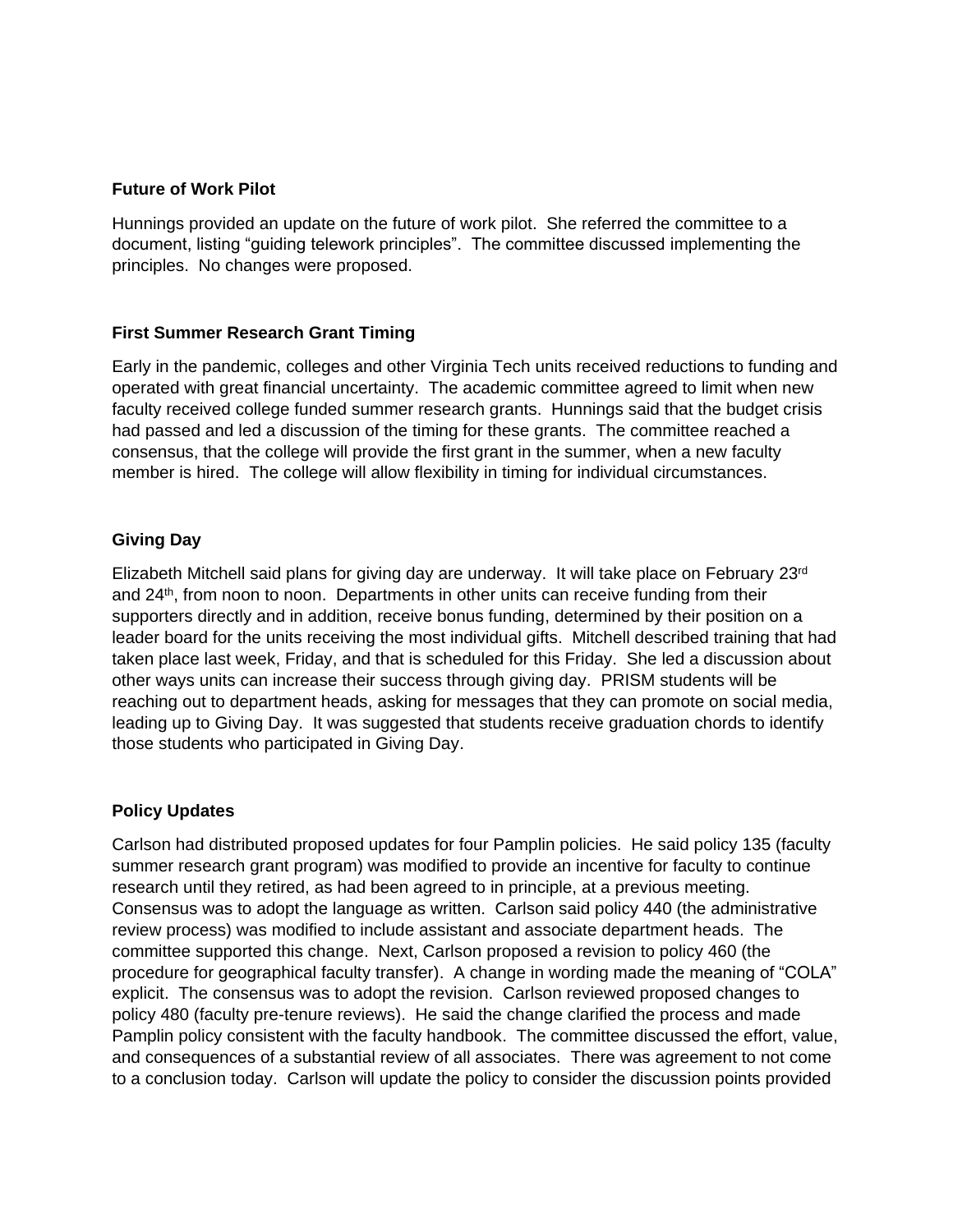## **Future of Work Pilot**

Hunnings provided an update on the future of work pilot. She referred the committee to a document, listing "guiding telework principles". The committee discussed implementing the principles. No changes were proposed.

## **First Summer Research Grant Timing**

Early in the pandemic, colleges and other Virginia Tech units received reductions to funding and operated with great financial uncertainty. The academic committee agreed to limit when new faculty received college funded summer research grants. Hunnings said that the budget crisis had passed and led a discussion of the timing for these grants. The committee reached a consensus, that the college will provide the first grant in the summer, when a new faculty member is hired. The college will allow flexibility in timing for individual circumstances.

## **Giving Day**

Elizabeth Mitchell said plans for giving day are underway. It will take place on February 23rd and  $24<sup>th</sup>$ , from noon to noon. Departments in other units can receive funding from their supporters directly and in addition, receive bonus funding, determined by their position on a leader board for the units receiving the most individual gifts. Mitchell described training that had taken place last week, Friday, and that is scheduled for this Friday. She led a discussion about other ways units can increase their success through giving day. PRISM students will be reaching out to department heads, asking for messages that they can promote on social media, leading up to Giving Day. It was suggested that students receive graduation chords to identify those students who participated in Giving Day.

## **Policy Updates**

Carlson had distributed proposed updates for four Pamplin policies. He said policy 135 (faculty summer research grant program) was modified to provide an incentive for faculty to continue research until they retired, as had been agreed to in principle, at a previous meeting. Consensus was to adopt the language as written. Carlson said policy 440 (the administrative review process) was modified to include assistant and associate department heads. The committee supported this change. Next, Carlson proposed a revision to policy 460 (the procedure for geographical faculty transfer). A change in wording made the meaning of "COLA" explicit. The consensus was to adopt the revision. Carlson reviewed proposed changes to policy 480 (faculty pre-tenure reviews). He said the change clarified the process and made Pamplin policy consistent with the faculty handbook. The committee discussed the effort, value, and consequences of a substantial review of all associates. There was agreement to not come to a conclusion today. Carlson will update the policy to consider the discussion points provided